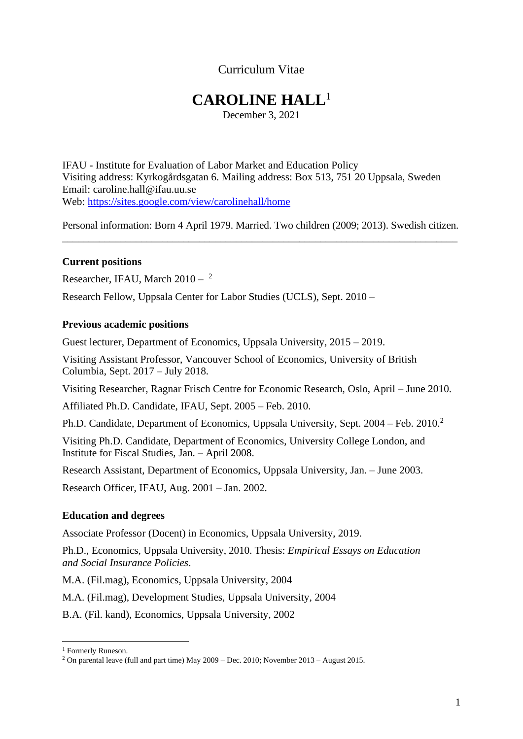# Curriculum Vitae

# **CAROLINE HALL**<sup>1</sup>

December 3, 2021

IFAU - Institute for Evaluation of Labor Market and Education Policy Visiting address: Kyrkogårdsgatan 6. Mailing address: Box 513, 751 20 Uppsala, Sweden Email: caroline.hall@ifau.uu.se Web:<https://sites.google.com/view/carolinehall/home>

Personal information: Born 4 April 1979. Married. Two children (2009; 2013). Swedish citizen. \_\_\_\_\_\_\_\_\_\_\_\_\_\_\_\_\_\_\_\_\_\_\_\_\_\_\_\_\_\_\_\_\_\_\_\_\_\_\_\_\_\_\_\_\_\_\_\_\_\_\_\_\_\_\_\_\_\_\_\_\_\_\_\_\_\_\_\_\_\_\_\_\_\_\_

#### **Current positions**

Researcher, IFAU, March  $2010 - \frac{2}{3}$ 

Research Fellow, Uppsala Center for Labor Studies (UCLS), Sept. 2010 –

#### **Previous academic positions**

Guest lecturer, Department of Economics, Uppsala University, 2015 – 2019.

Visiting Assistant Professor, Vancouver School of Economics, University of British Columbia, Sept. 2017 – July 2018.

Visiting Researcher, Ragnar Frisch Centre for Economic Research, Oslo, April – June 2010.

Affiliated Ph.D. Candidate, IFAU, Sept. 2005 – Feb. 2010.

Ph.D. Candidate, Department of Economics, Uppsala University, Sept. 2004 – Feb. 2010.<sup>2</sup>

Visiting Ph.D. Candidate, Department of Economics, University College London, and Institute for Fiscal Studies, Jan. – April 2008.

Research Assistant, Department of Economics, Uppsala University, Jan. – June 2003.

Research Officer, IFAU, Aug. 2001 – Jan. 2002.

#### **Education and degrees**

Associate Professor (Docent) in Economics, Uppsala University, 2019.

Ph.D., Economics, Uppsala University, 2010. Thesis: *Empirical Essays on Education and Social Insurance Policies*.

M.A. (Fil.mag), Economics, Uppsala University, 2004

M.A. (Fil.mag), Development Studies, Uppsala University, 2004

B.A. (Fil. kand), Economics, Uppsala University, 2002

<sup>1</sup> Formerly Runeson.

<sup>&</sup>lt;sup>2</sup> On parental leave (full and part time) May  $2009 - \text{Dec. } 2010$ ; November  $2013 - \text{August } 2015$ .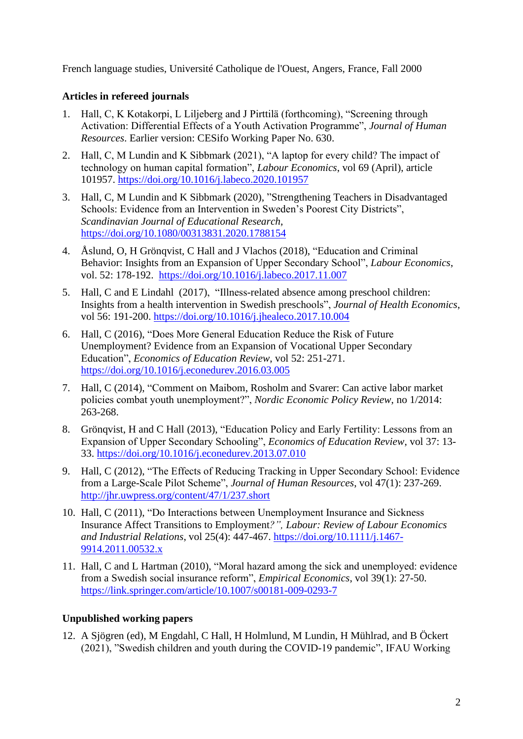French language studies, Université Catholique de l'Ouest, Angers, France, Fall 2000

# **Articles in refereed journals**

- 1. Hall, C, K Kotakorpi, L Liljeberg and J Pirttilä (forthcoming), "Screening through Activation: Differential Effects of a Youth Activation Programme", *Journal of Human Resources*. Earlier version: CESifo Working Paper No. 630.
- 2. Hall, C, M Lundin and K Sibbmark (2021), "A laptop for every child? The impact of technology on human capital formation", *Labour Economics*, vol 69 (April), article 101957. <https://doi.org/10.1016/j.labeco.2020.101957>
- 3. Hall, C, M Lundin and K Sibbmark (2020), "Strengthening Teachers in Disadvantaged Schools: Evidence from an Intervention in Sweden's Poorest City Districts", *Scandinavian Journal of Educational Research*, <https://doi.org/10.1080/00313831.2020.1788154>
- 4. Åslund, O, H Grönqvist, C Hall and J Vlachos (2018), "Education and Criminal Behavior: Insights from an Expansion of Upper Secondary School", *Labour Economics*, vol. 52: 178-192. <https://doi.org/10.1016/j.labeco.2017.11.007>
- 5. Hall, C and E Lindahl (2017), "Illness-related absence among preschool children: Insights from a health intervention in Swedish preschools", *Journal of Health Economics*, vol 56: 191-200. <https://doi.org/10.1016/j.jhealeco.2017.10.004>
- 6. Hall, C (2016), "Does More General Education Reduce the Risk of Future Unemployment? Evidence from an Expansion of Vocational Upper Secondary Education", *Economics of Education Review*, vol 52: 251-271. <https://doi.org/10.1016/j.econedurev.2016.03.005>
- 7. Hall, C (2014), "Comment on Maibom, Rosholm and Svarer: Can active labor market policies combat youth unemployment?", *Nordic Economic Policy Review*, no 1/2014: 263-268.
- 8. Grönqvist, H and C Hall (2013), "Education Policy and Early Fertility: Lessons from an Expansion of Upper Secondary Schooling", *Economics of Education Review*, vol 37: 13- 33. <https://doi.org/10.1016/j.econedurev.2013.07.010>
- 9. Hall, C (2012), "The Effects of Reducing Tracking in Upper Secondary School: Evidence from a Large-Scale Pilot Scheme", *Journal of Human Resources*, vol 47(1): 237-269. <http://jhr.uwpress.org/content/47/1/237.short>
- 10. Hall, C (2011), "Do Interactions between Unemployment Insurance and Sickness Insurance Affect Transitions to Employment*?", Labour: Review of Labour Economics and Industrial Relations*, vol 25(4): 447-467. [https://doi.org/10.1111/j.1467-](https://doi.org/10.1111/j.1467-9914.2011.00532.x) [9914.2011.00532.x](https://doi.org/10.1111/j.1467-9914.2011.00532.x)
- 11. Hall, C and L Hartman (2010), "Moral hazard among the sick and unemployed: evidence from a Swedish social insurance reform", *Empirical Economics*, vol 39(1): 27-50. <https://link.springer.com/article/10.1007/s00181-009-0293-7>

## **Unpublished working papers**

12. A Sjögren (ed), M Engdahl, C Hall, H Holmlund, M Lundin, H Mühlrad, and B Öckert (2021), "Swedish children and youth during the COVID-19 pandemic", IFAU Working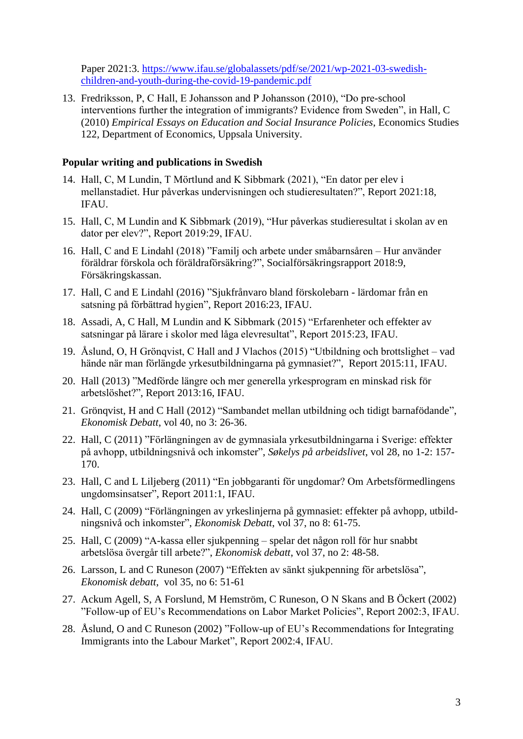Paper 2021:3. [https://www.ifau.se/globalassets/pdf/se/2021/wp-2021-03-swedish](https://www.ifau.se/globalassets/pdf/se/2021/wp-2021-03-swedish-children-and-youth-during-the-covid-19-pandemic.pdf)[children-and-youth-during-the-covid-19-pandemic.pdf](https://www.ifau.se/globalassets/pdf/se/2021/wp-2021-03-swedish-children-and-youth-during-the-covid-19-pandemic.pdf) 

13. Fredriksson, P, C Hall, E Johansson and P Johansson (2010), "Do pre-school interventions further the integration of immigrants? Evidence from Sweden", in Hall, C (2010) *Empirical Essays on Education and Social Insurance Policies*, Economics Studies 122, Department of Economics, Uppsala University.

#### **Popular writing and publications in Swedish**

- 14. Hall, C, M Lundin, T Mörtlund and K Sibbmark (2021), "En dator per elev i mellanstadiet. Hur påverkas undervisningen och studieresultaten?", Report 2021:18, IFAU.
- 15. Hall, C, M Lundin and K Sibbmark (2019), "Hur påverkas studieresultat i skolan av en dator per elev?", Report 2019:29, IFAU.
- 16. Hall, C and E Lindahl (2018) "Familj och arbete under småbarnsåren Hur använder föräldrar förskola och föräldraförsäkring?", Socialförsäkringsrapport 2018:9, Försäkringskassan.
- 17. Hall, C and E Lindahl (2016) "Sjukfrånvaro bland förskolebarn lärdomar från en satsning på förbättrad hygien", Report 2016:23, IFAU.
- 18. Assadi, A, C Hall, M Lundin and K Sibbmark (2015) "Erfarenheter och effekter av satsningar på lärare i skolor med låga elevresultat", Report 2015:23, IFAU.
- 19. Åslund, O, H Grönqvist, C Hall and J Vlachos (2015) "Utbildning och brottslighet vad hände när man förlängde yrkesutbildningarna på gymnasiet?", Report 2015:11, IFAU.
- 20. Hall (2013) "Medförde längre och mer generella yrkesprogram en minskad risk för arbetslöshet?", Report 2013:16, IFAU.
- 21. Grönqvist, H and C Hall (2012) "Sambandet mellan utbildning och tidigt barnafödande", *Ekonomisk Debatt*, vol 40, no 3: 26-36.
- 22. Hall, C (2011) "Förlängningen av de gymnasiala yrkesutbildningarna i Sverige: effekter på avhopp, utbildningsnivå och inkomster", *Søkelys på arbeidslivet*, vol 28, no 1-2: 157- 170.
- 23. Hall, C and L Liljeberg (2011) "En jobbgaranti för ungdomar? Om Arbetsförmedlingens ungdomsinsatser", Report 2011:1, IFAU.
- 24. Hall, C (2009) "Förlängningen av yrkeslinjerna på gymnasiet: effekter på avhopp, utbildningsnivå och inkomster", *Ekonomisk Debatt*, vol 37, no 8: 61-75.
- 25. Hall, C (2009) "A-kassa eller sjukpenning spelar det någon roll för hur snabbt arbetslösa övergår till arbete?", *Ekonomisk debatt*, vol 37, no 2: 48-58.
- 26. Larsson, L and C Runeson (2007) "Effekten av sänkt sjukpenning för arbetslösa", *Ekonomisk debatt*, vol 35, no 6: 51-61
- 27. Ackum Agell, S, A Forslund, M Hemström, C Runeson, O N Skans and B Öckert (2002) "Follow-up of EU's Recommendations on Labor Market Policies", Report 2002:3, IFAU.
- 28. Åslund, O and C Runeson (2002) "Follow-up of EU's Recommendations for Integrating Immigrants into the Labour Market", Report 2002:4, IFAU.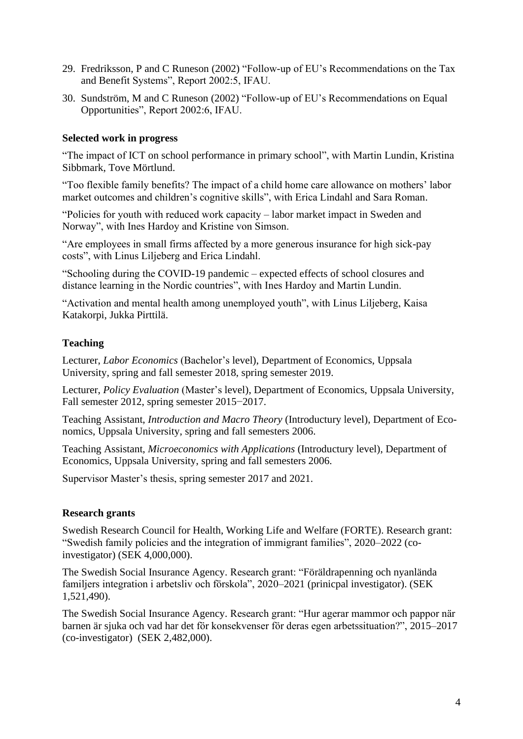- 29. Fredriksson, P and C Runeson (2002) "Follow-up of EU's Recommendations on the Tax and Benefit Systems", Report 2002:5, IFAU.
- 30. Sundström, M and C Runeson (2002) "Follow-up of EU's Recommendations on Equal Opportunities", Report 2002:6, IFAU.

#### **Selected work in progress**

"The impact of ICT on school performance in primary school", with Martin Lundin, Kristina Sibbmark, Tove Mörtlund.

"Too flexible family benefits? The impact of a child home care allowance on mothers' labor market outcomes and children's cognitive skills", with Erica Lindahl and Sara Roman.

"Policies for youth with reduced work capacity – labor market impact in Sweden and Norway", with Ines Hardoy and Kristine von Simson.

"Are employees in small firms affected by a more generous insurance for high sick-pay costs", with Linus Liljeberg and Erica Lindahl.

"Schooling during the COVID-19 pandemic – expected effects of school closures and distance learning in the Nordic countries", with Ines Hardoy and Martin Lundin.

"Activation and mental health among unemployed youth", with Linus Liljeberg, Kaisa Katakorpi, Jukka Pirttilä.

#### **Teaching**

Lecturer, *Labor Economics* (Bachelor's level), Department of Economics, Uppsala University, spring and fall semester 2018, spring semester 2019.

Lecturer, *Policy Evaluation* (Master's level), Department of Economics, Uppsala University, Fall semester 2012, spring semester 2015−2017.

Teaching Assistant, *Introduction and Macro Theory* (Introductury level), Department of Economics, Uppsala University, spring and fall semesters 2006.

Teaching Assistant, *Microeconomics with Applications* (Introductury level), Department of Economics, Uppsala University, spring and fall semesters 2006.

Supervisor Master's thesis, spring semester 2017 and 2021.

#### **Research grants**

Swedish Research Council for Health, Working Life and Welfare (FORTE). Research grant: "Swedish family policies and the integration of immigrant families", 2020–2022 (coinvestigator) (SEK 4,000,000).

The Swedish Social Insurance Agency. Research grant: "Föräldrapenning och nyanlända familjers integration i arbetsliv och förskola", 2020–2021 (prinicpal investigator). (SEK 1,521,490).

The Swedish Social Insurance Agency. Research grant: "Hur agerar mammor och pappor när barnen är sjuka och vad har det för konsekvenser för deras egen arbetssituation?", 2015–2017 (co-investigator) (SEK 2,482,000).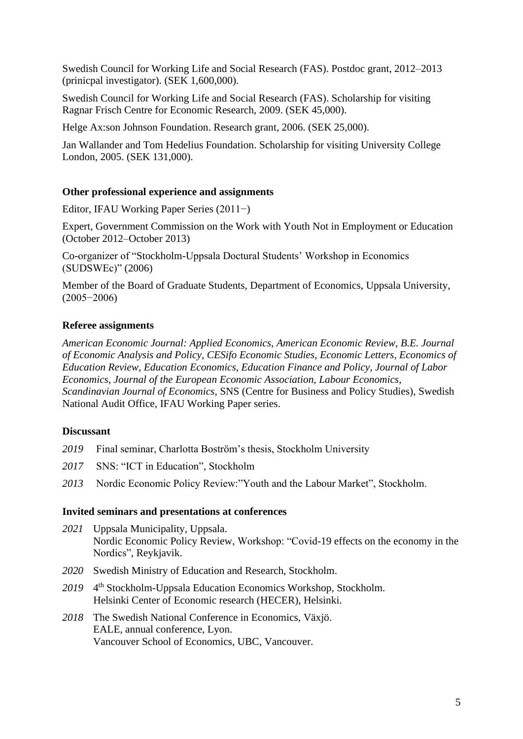Swedish Council for Working Life and Social Research (FAS). Postdoc grant, 2012–2013 (prinicpal investigator). (SEK 1,600,000).

Swedish Council for Working Life and Social Research (FAS). Scholarship for visiting Ragnar Frisch Centre for Economic Research, 2009. (SEK 45,000).

Helge Ax:son Johnson Foundation. Research grant, 2006. (SEK 25,000).

Jan Wallander and Tom Hedelius Foundation. Scholarship for visiting University College London, 2005. (SEK 131,000).

#### **Other professional experience and assignments**

Editor, IFAU Working Paper Series (2011−)

Expert, Government Commission on the Work with Youth Not in Employment or Education (October 2012–October 2013)

Co-organizer of "Stockholm-Uppsala Doctural Students' Workshop in Economics (SUDSWEc)" (2006)

Member of the Board of Graduate Students, Department of Economics, Uppsala University, (2005−2006)

#### **Referee assignments**

*American Economic Journal: Applied Economics*, *American Economic Review*, *B.E. Journal of Economic Analysis and Policy, CESifo Economic Studies, Economic Letters*, *Economics of Education Review*, *Education Economics*, *Education Finance and Policy*, *Journal of Labor Economics*, *Journal of the European Economic Association, Labour Economics*, *Scandinavian Journal of Economics*, SNS (Centre for Business and Policy Studies), Swedish National Audit Office, IFAU Working Paper series.

## **Discussant**

- *2019* Final seminar, Charlotta Boström's thesis, Stockholm University
- *2017* SNS: "ICT in Education", Stockholm
- *2013* Nordic Economic Policy Review:"Youth and the Labour Market", Stockholm.

#### **Invited seminars and presentations at conferences**

- *2021* Uppsala Municipality, Uppsala. Nordic Economic Policy Review, Workshop: "Covid-19 effects on the economy in the Nordics", Reykjavik.
- *2020* Swedish Ministry of Education and Research, Stockholm.
- 2019 <sup>4th</sup> Stockholm-Uppsala Education Economics Workshop, Stockholm. Helsinki Center of Economic research (HECER), Helsinki.
- *2018* The Swedish National Conference in Economics, Växjö. EALE, annual conference, Lyon. Vancouver School of Economics, UBC, Vancouver.